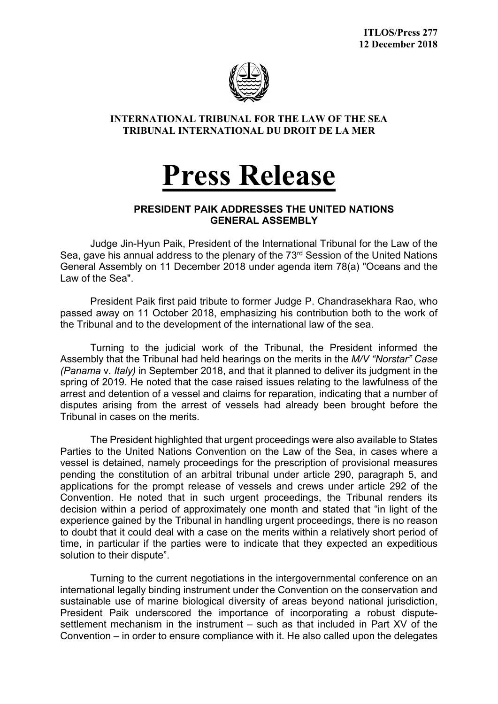

## **INTERNATIONAL TRIBUNAL FOR THE LAW OF THE SEA TRIBUNAL INTERNATIONAL DU DROIT DE LA MER**

## **Press Release**

## **PRESIDENT PAIK ADDRESSES THE UNITED NATIONS GENERAL ASSEMBLY**

Judge Jin-Hyun Paik, President of the International Tribunal for the Law of the Sea, gave his annual address to the plenary of the 73<sup>rd</sup> Session of the United Nations General Assembly on 11 December 2018 under agenda item 78(a) "Oceans and the Law of the Sea".

President Paik first paid tribute to former Judge P. Chandrasekhara Rao, who passed away on 11 October 2018, emphasizing his contribution both to the work of the Tribunal and to the development of the international law of the sea.

Turning to the judicial work of the Tribunal, the President informed the Assembly that the Tribunal had held hearings on the merits in the *M/V "Norstar" Case (Panama* v*. Italy)* in September 2018, and that it planned to deliver its judgment in the spring of 2019. He noted that the case raised issues relating to the lawfulness of the arrest and detention of a vessel and claims for reparation, indicating that a number of disputes arising from the arrest of vessels had already been brought before the Tribunal in cases on the merits.

The President highlighted that urgent proceedings were also available to States Parties to the United Nations Convention on the Law of the Sea, in cases where a vessel is detained, namely proceedings for the prescription of provisional measures pending the constitution of an arbitral tribunal under article 290, paragraph 5, and applications for the prompt release of vessels and crews under article 292 of the Convention. He noted that in such urgent proceedings, the Tribunal renders its decision within a period of approximately one month and stated that "in light of the experience gained by the Tribunal in handling urgent proceedings, there is no reason to doubt that it could deal with a case on the merits within a relatively short period of time, in particular if the parties were to indicate that they expected an expeditious solution to their dispute".

Turning to the current negotiations in the intergovernmental conference on an international legally binding instrument under the Convention on the conservation and sustainable use of marine biological diversity of areas beyond national jurisdiction, President Paik underscored the importance of incorporating a robust disputesettlement mechanism in the instrument – such as that included in Part XV of the Convention – in order to ensure compliance with it. He also called upon the delegates